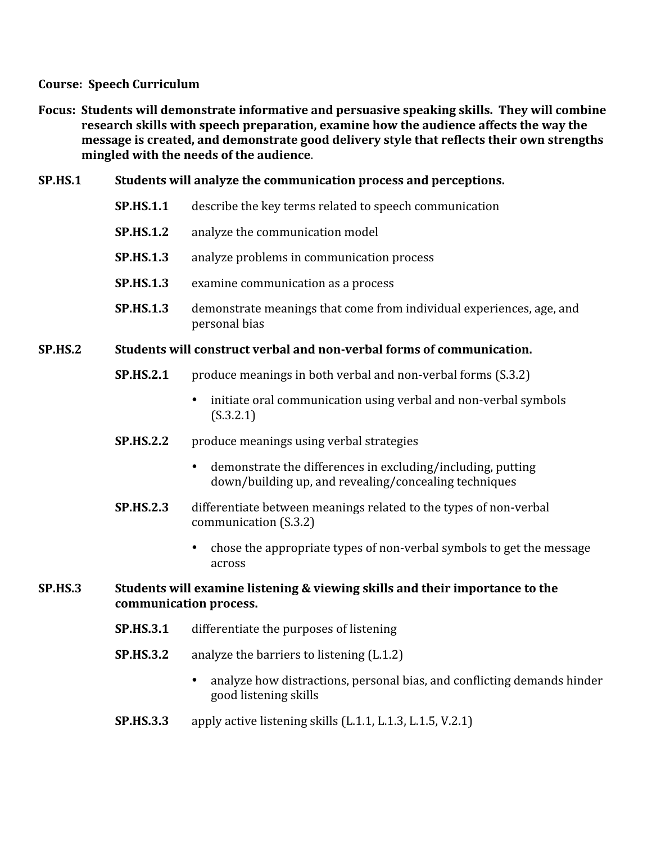### **Course:

Speech
Curriculum**

Focus: Students will demonstrate informative and persuasive speaking skills. They will combine **research
skills
with
speech
preparation,
examine
how
the
audience
affects
the
way
the**  message is created, and demonstrate good delivery style that reflects their own strengths **mingled
with
the
needs
of
the
audience**.

### **SP.HS.1 Students
will
analyze
the
communication
process
and
perceptions.**

- **SP.HS.1.1** describe the key terms related to speech communication
- **SP.HS.1.2** analyze the communication model
- **SP.HS.1.3** analyze problems in communication process
- **SP.HS.1.3** examine
communication
as
a
process
- **SP.HS.1.3** demonstrate meanings that come from individual experiences, age, and personal
bias

## SP.HS.2 Students will construct verbal and non-verbal forms of communication.

- **SP.HS.2.1** produce meanings in both verbal and non-verbal forms (S.3.2)
	- initiate oral communication using verbal and non-verbal symbols (S.3.2.1)
- **SP.HS.2.2** produce meanings using verbal strategies
	- demonstrate the differences in excluding/including, putting down/building
	up,
	and
	revealing/concealing
	techniques
- **SP.HS.2.3** differentiate between meanings related to the types of non-verbal communication
(S.3.2)
	- chose
	the
	appropriate
	types
	of
	non‐verbal
	symbols
	to
	get
	the
	message across

## **SP.HS.3 Students
will
examine
listening
&
viewing
skills
and
their
importance
to
the communication
process.**

- **SP.HS.3.1** differentiate the purposes of listening
- **SP.HS.3.2** analyze the barriers to listening (L.1.2)
	- analyze how distractions, personal bias, and conflicting demands hinder good
	listening
	skills
- **SP.HS.3.3** apply active listening skills (L.1.1, L.1.3, L.1.5, V.2.1)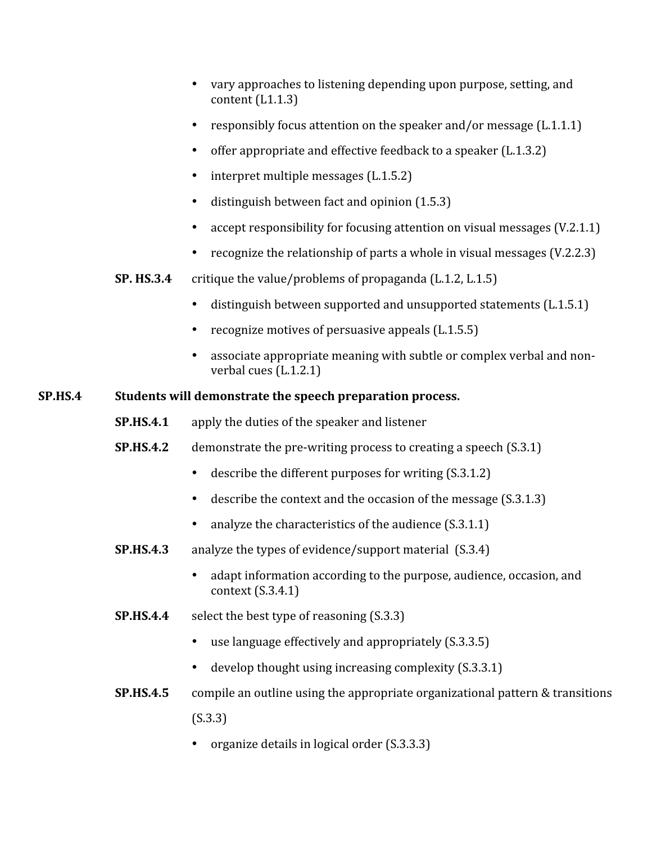- vary approaches to listening depending upon purpose, setting, and content
(L1.1.3)
- responsibly focus attention on the speaker and/or message (L.1.1.1)
- offer appropriate and effective feedback to a speaker (L.1.3.2)
- interpret multiple messages (L.1.5.2)
- distinguish between fact and opinion  $(1.5.3)$
- accept responsibility for focusing attention on visual messages (V.2.1.1)
- recognize the relationship of parts a whole in visual messages (V.2.2.3)
- **SP. HS.3.4** critique the value/problems of propaganda (L.1.2, L.1.5)
	- distinguish between supported and unsupported statements (L.1.5.1)
	- recognize motives of persuasive appeals (L.1.5.5)
	- associate appropriate meaning with subtle or complex verbal and nonverbal
	cues
	(L.1.2.1)

# **SP.HS.4 Students
will
demonstrate
the
speech
preparation
process.**

- **SP.HS.4.1** apply the duties of the speaker and listener
- **SP.HS.4.2** demonstrate the pre-writing process to creating a speech (S.3.1)
	- describe the different purposes for writing (S.3.1.2)
	- describe the context and the occasion of the message (S.3.1.3)
	- analyze the characteristics of the audience (S.3.1.1)
- **SP.HS.4.3** analyze the types of evidence/support material (S.3.4)
	- adapt information according to the purpose, audience, occasion, and context
	(S.3.4.1)
- **SP.HS.4.4** select the best type of reasoning (S.3.3)
	- use language effectively and appropriately (S.3.3.5)
	- develop thought using increasing complexity (S.3.3.1)
- **SP.HS.4.5** compile an outline using the appropriate organizational pattern & transitions (S.3.3)
	- organize details in logical order (S.3.3.3)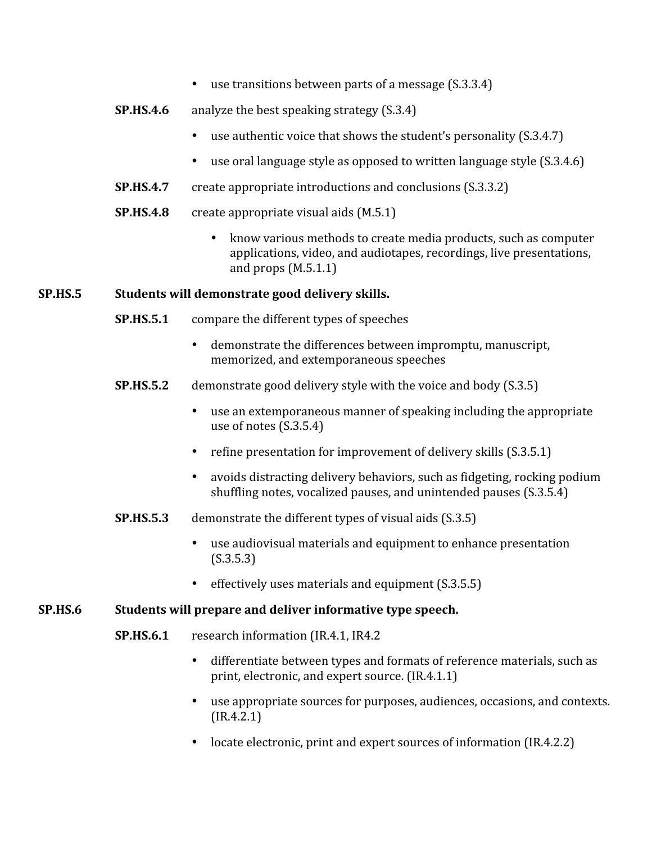- use transitions between parts of a message (S.3.3.4)
- **SP.HS.4.6** analyze the best speaking strategy (S.3.4)
	- use authentic voice that shows the student's personality (S.3.4.7)
	- use oral language style as opposed to written language style (S.3.4.6)
- **SP.HS.4.7** create appropriate introductions and conclusions (S.3.3.2)
- **SP.HS.4.8** create appropriate visual aids (M.5.1)
	- know various methods to create media products, such as computer applications,
	video,
	and
	audiotapes,
	recordings,
	live
	presentations, and
	props
	(M.5.1.1)

### **SP.HS.5 Students
will
demonstrate
good
delivery
skills.**

- **SP.HS.5.1** compare the different types of speeches
	- demonstrate
	the
	differences
	between
	impromptu,
	manuscript, memorized,
	and
	extemporaneous
	speeches
- **SP.HS.5.2** demonstrate good delivery style with the voice and body (S.3.5)
	- use an extemporaneous manner of speaking including the appropriate use
	of
	notes
	(S.3.5.4)
	- refine presentation for improvement of delivery skills (S.3.5.1)
	- avoids distracting delivery behaviors, such as fidgeting, rocking podium shuffling notes, vocalized pauses, and unintended pauses (S.3.5.4)
- **SP.HS.5.3** demonstrate the different types of visual aids (S.3.5)
	- use audiovisual materials and equipment to enhance presentation (S.3.5.3)
	- effectively uses materials and equipment (S.3.5.5)

#### **SP.HS.6 Students
will
prepare
and
deliver
informative
type
speech.**

- **SP.HS.6.1** research
information
(IR.4.1,
IR4.2
	- differentiate between types and formats of reference materials, such as print,
	electronic,
	and
	expert
	source.
	(IR.4.1.1)
	- use appropriate sources for purposes, audiences, occasions, and contexts. (IR.4.2.1)
	- locate electronic, print and expert sources of information (IR.4.2.2)